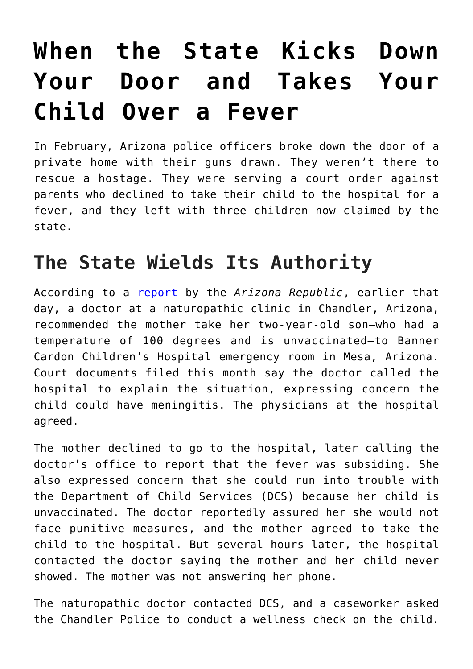## **[When the State Kicks Down](https://intellectualtakeout.org/2019/03/when-the-state-kicks-down-your-door-and-takes-your-child-over-a-fever/) [Your Door and Takes Your](https://intellectualtakeout.org/2019/03/when-the-state-kicks-down-your-door-and-takes-your-child-over-a-fever/) [Child Over a Fever](https://intellectualtakeout.org/2019/03/when-the-state-kicks-down-your-door-and-takes-your-child-over-a-fever/)**

In February, Arizona police officers broke down the door of a private home with their guns drawn. They weren't there to rescue a hostage. They were serving a court order against parents who declined to take their child to the hospital for a fever, and they left with three children now claimed by the state.

## **The State Wields Its Authority**

According to a [report](https://www.azcentral.com/story/news/local/arizona-child-welfare/2019/03/25/questions-due-process-rise-after-police-break-down-door-check-feverish-toddler/3223829002/) by the *Arizona Republic*, earlier that day, a doctor at a naturopathic clinic in Chandler, Arizona, recommended the mother take her two-year-old son—who had a temperature of 100 degrees and is unvaccinated—to Banner Cardon Children's Hospital emergency room in Mesa, Arizona. Court documents filed this month say the doctor called the hospital to explain the situation, expressing concern the child could have meningitis. The physicians at the hospital agreed.

The mother declined to go to the hospital, later calling the doctor's office to report that the fever was subsiding. She also expressed concern that she could run into trouble with the Department of Child Services (DCS) because her child is unvaccinated. The doctor reportedly assured her she would not face punitive measures, and the mother agreed to take the child to the hospital. But several hours later, the hospital contacted the doctor saying the mother and her child never showed. The mother was not answering her phone.

The naturopathic doctor contacted DCS, and a caseworker asked the Chandler Police to conduct a wellness check on the child.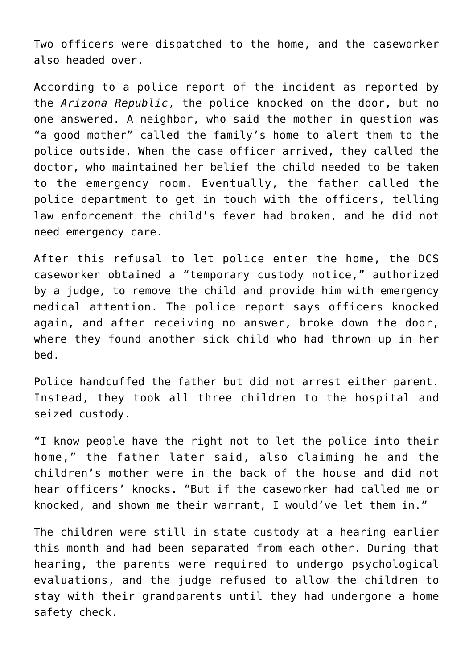Two officers were dispatched to the home, and the caseworker also headed over.

According to a police report of the incident as reported by the *Arizona Republic*, the police knocked on the door, but no one answered. A neighbor, who said the mother in question was "a good mother" called the family's home to alert them to the police outside. When the case officer arrived, they called the doctor, who maintained her belief the child needed to be taken to the emergency room. Eventually, the father called the police department to get in touch with the officers, telling law enforcement the child's fever had broken, and he did not need emergency care.

After this refusal to let police enter the home, the DCS caseworker obtained a "temporary custody notice," authorized by a judge, to remove the child and provide him with emergency medical attention. The police report says officers knocked again, and after receiving no answer, broke down the door, where they found another sick child who had thrown up in her bed.

Police handcuffed the father but did not arrest either parent. Instead, they took all three children to the hospital and seized custody.

"I know people have the right not to let the police into their home," the father later said, also claiming he and the children's mother were in the back of the house and did not hear officers' knocks. "But if the caseworker had called me or knocked, and shown me their warrant, I would've let them in."

The children were still in state custody at a hearing earlier this month and had been separated from each other. During that hearing, the parents were required to undergo psychological evaluations, and the judge refused to allow the children to stay with their grandparents until they had undergone a home safety check.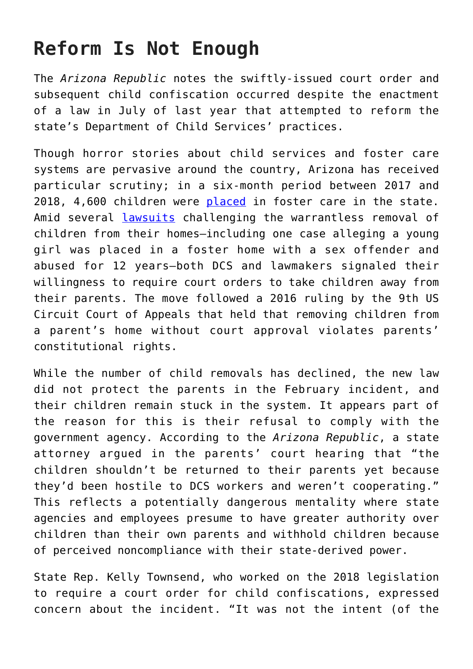## **Reform Is Not Enough**

The *Arizona Republic* notes the swiftly-issued court order and subsequent child confiscation occurred despite the enactment of a law in July of last year that attempted to reform the state's Department of Child Services' practices.

Though horror stories about child services and foster care systems are pervasive around the country, Arizona has received particular scrutiny; in a six-month period between 2017 and 2018, 4,600 children were [placed](https://www.azcentral.com/story/news/local/arizona-child-welfare/2018/07/01/arizona-kids-cant-taken-homes-without-court-ok/731684002/) in foster care in the state. Amid several [lawsuits](https://www.azcentral.com/story/news/local/arizona-investigations/2018/02/08/back-back-claims-kids-were-abused-foster-care-and-dcs-dropped-ball/316817002/) challenging the warrantless removal of children from their homes—including one case alleging a young girl was placed in a foster home with a sex offender and abused for 12 years—both DCS and lawmakers signaled their willingness to require court orders to take children away from their parents. The move followed a 2016 ruling by the 9th US Circuit Court of Appeals that held that removing children from a parent's home without court approval violates parents' constitutional rights.

While the number of child removals has declined, the new law did not protect the parents in the February incident, and their children remain stuck in the system. It appears part of the reason for this is their refusal to comply with the government agency. According to the *Arizona Republic*, a state attorney argued in the parents' court hearing that "the children shouldn't be returned to their parents yet because they'd been hostile to DCS workers and weren't cooperating." This reflects a potentially dangerous mentality where state agencies and employees presume to have greater authority over children than their own parents and withhold children because of perceived noncompliance with their state-derived power.

State Rep. Kelly Townsend, who worked on the 2018 legislation to require a court order for child confiscations, expressed concern about the incident. "It was not the intent (of the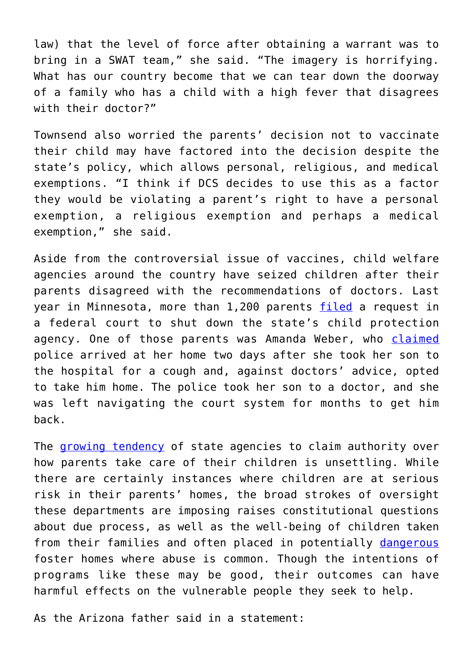law) that the level of force after obtaining a warrant was to bring in a SWAT team," she said. "The imagery is horrifying. What has our country become that we can tear down the doorway of a family who has a child with a high fever that disagrees with their doctor?"

Townsend also worried the parents' decision not to vaccinate their child may have factored into the decision despite the state's policy, which allows personal, religious, and medical exemptions. "I think if DCS decides to use this as a factor they would be violating a parent's right to have a personal exemption, a religious exemption and perhaps a medical exemption," she said.

Aside from the controversial issue of vaccines, child welfare agencies around the country have seized children after their parents disagreed with the recommendations of doctors. Last year in Minnesota, more than 1,200 parents [filed](https://www.prweb.com/releases/2018/06/prweb15534069.htm) a request in a federal court to shut down the state's child protection agency. One of those parents was Amanda Weber, who [claimed](http://www.fox9.com/news/group-of-minnesota-parents-calls-for-shutdown-of-child-protective-services) police arrived at her home two days after she took her son to the hospital for a cough and, against doctors' advice, opted to take him home. The police took her son to a doctor, and she was left navigating the court system for months to get him back.

The [growing tendency](https://www.acf.hhs.gov/media/press/2017/number-of-children-in-foster-care-continues-to-increase) of state agencies to claim authority over how parents take care of their children is unsettling. While there are certainly instances where children are at serious risk in their parents' homes, the broad strokes of oversight these departments are imposing raises constitutional questions about due process, as well as the well-being of children taken from their families and often placed in potentially [dangerous](https://www.azcentral.com/story/news/local/arizona-investigations/2017/06/04/arizona-foster-care-child-abuse/362836001/) foster homes where abuse is common. Though the intentions of programs like these may be good, their outcomes can have harmful effects on the vulnerable people they seek to help.

As the Arizona father said in a statement: